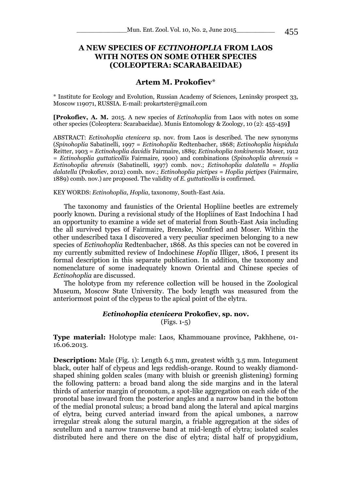# **A NEW SPECIES OF** *ECTINOHOPLIA* **FROM LAOS WITH NOTES ON SOME OTHER SPECIES (COLEOPTERA: SCARABAEIDAE)**

# **Artem M. Prokofiev**\*

\* Institute for Ecology and Evolution, Russian Academy of Sciences, Leninsky prospect 33, Moscow 119071, RUSSIA. E-mail: prokartster@gmail.com

**[Prokofiev, A. M.** 2015. A new species of *Ectinohoplia* from Laos with notes on some other species (Coleoptera: Scarabaeidae). Munis Entomology & Zoology, 10 (2): 455-459**]**

ABSTRACT: *Ectinohoplia ctenicera* sp. nov. from Laos is described. The new synonyms (*Spinohoplia* Sabatinelli, 1997 = *Ectinohoplia* Redtenbacher, 1868; *Ectinohoplia hispidula*  Reitter, 1903 = *Ectinohoplia davidis* Fairmaire, 1889; *Ectinohoplia tonkinensis* Moser, 1912 = *Ectinohoplia guttaticollis* Fairmaire, 1900) and combinations (*Spinohoplia ahrensis* = *Ectinohoplia ahrensis* (Sabatinelli, 1997) comb. nov.; *Ectinohoplia dalatella* = *Hoplia dalatella* (Prokofiev, 2012) comb. nov.; *Ectinohoplia pictipes* = *Hoplia pictipes* (Fairmaire, 1889) comb. nov.) are proposed. The validity of *E. guttaticollis* is confirmed.

### KEY WORDS: *Ectinohoplia*, *Hoplia*, taxonomy, South-East Asia.

The taxonomy and faunistics of the Oriental Hopliine beetles are extremely poorly known. During a revisional study of the Hopliines of East Indochina I had an opportunity to examine a wide set of material from South-East Asia including the all survived types of Fairmaire, Brenske, Nonfried and Moser. Within the other undescribed taxa I discovered a very peculiar specimen belonging to a new species of *Ectinohoplia* Redtenbacher, 1868. As this species can not be covered in my currently submitted review of Indochinese *Hoplia* Illiger, 1806, I present its formal description in this separate publication. In addition, the taxonomy and nomenclature of some inadequately known Oriental and Chinese species of *Ectinohoplia* are discussed.

The holotype from my reference collection will be housed in the Zoological Museum, Moscow State University. The body length was measured from the anteriormost point of the clypeus to the apical point of the elytra.

## *Ectinohoplia ctenicera* **Prokofiev, sp. nov.**

(Figs. 1-5)

**Type material:** Holotype male: Laos, Khammouane province, Pakhhene, 01- 16.06.2013.

**Description:** Male (Fig. 1): Length 6.5 mm, greatest width 3.5 mm. Integument black, outer half of clypeus and legs reddish-orange. Round to weakly diamondshaped shining golden scales (many with bluish or greenish glistening) forming the following pattern: a broad band along the side margins and in the lateral thirds of anterior margin of pronotum, a spot-like aggregation on each side of the pronotal base inward from the posterior angles and a narrow band in the bottom of the medial pronotal sulcus; a broad band along the lateral and apical margins of elytra, being curved anteriad inward from the apical umbones, a narrow irregular streak along the sutural margin, a friable aggregation at the sides of scutellum and a narrow transverse band at mid-length of elytra; isolated scales distributed here and there on the disc of elytra; distal half of propygidium,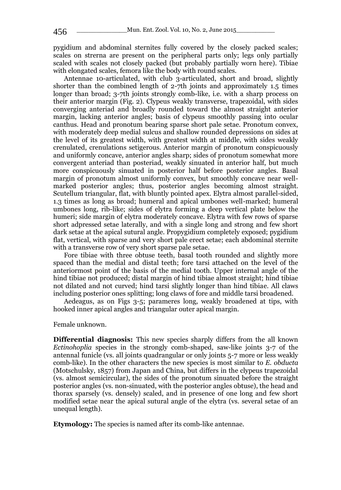pygidium and abdominal sternites fully covered by the closely packed scales; scales on strerna are present on the peripheral parts only; legs only partially scaled with scales not closely packed (but probably partially worn here). Tibiae with elongated scales, femora like the body with round scales.

Antennae 10-articulated, with club 3-articulated, short and broad, slightly shorter than the combined length of 2-7th joints and approximately 1.5 times longer than broad; 3-7th joints strongly comb-like, i.e. with a sharp process on their anterior margin (Fig. 2). Clypeus weakly transverse, trapezoidal, with sides converging anteriad and broadly rounded toward the almost straight anterior margin, lacking anterior angles; basis of clypeus smoothly passing into ocular canthus. Head and pronotum bearing sparse short pale setae. Pronotum convex, with moderately deep medial sulcus and shallow rounded depressions on sides at the level of its greatest width, with greatest width at middle, with sides weakly crenulated, crenulations setigerous. Anterior margin of pronotum conspicuously and uniformly concave, anterior angles sharp; sides of pronotum somewhat more convergent anteriad than posteriad, weakly sinuated in anterior half, but much more conspicuously sinuated in posterior half before posterior angles. Basal margin of pronotum almost uniformly convex, but smoothly concave near wellmarked posterior angles; thus, posterior angles becoming almost straight. Scutellum triangular, flat, with bluntly pointed apex. Elytra almost parallel-sided, 1.3 times as long as broad; humeral and apical umbones well-marked; humeral umbones long, rib-like; sides of elytra forming a deep vertical plate below the humeri; side margin of elytra moderately concave. Elytra with few rows of sparse short adpressed setae laterally, and with a single long and strong and few short dark setae at the apical sutural angle. Propygidium completely exposed; pygidium flat, vertical, with sparse and very short pale erect setae; each abdominal sternite with a transverse row of very short sparse pale setae.

Fore tibiae with three obtuse teeth, basal tooth rounded and slightly more spaced than the medial and distal teeth; fore tarsi attached on the level of the anteriormost point of the basis of the medial tooth. Upper internal angle of the hind tibiae not produced; distal margin of hind tibiae almost straight; hind tibiae not dilated and not curved; hind tarsi slightly longer than hind tibiae. All claws including posterior ones splitting; long claws of fore and middle tarsi broadened.

Aedeagus, as on Figs 3-5; parameres long, weakly broadened at tips, with hooked inner apical angles and triangular outer apical margin.

Female unknown.

**Differential diagnosis:** This new species sharply differs from the all known *Ectinohoplia* species in the strongly comb-shaped, saw-like joints 3-7 of the antennal funicle (vs. all joints quadrangular or only joints 5-7 more or less weakly comb-like). In the other characters the new species is most similar to *E. obducta* (Motschulsky, 1857) from Japan and China, but differs in the clypeus trapezoidal (vs. almost semicircular), the sides of the pronotum sinuated before the straight posterior angles (vs. non-sinuated, with the posterior angles obtuse), the head and thorax sparsely (vs. densely) scaled, and in presence of one long and few short modified setae near the apical sutural angle of the elytra (vs. several setae of an unequal length).

**Etymology:** The species is named after its comb-like antennae.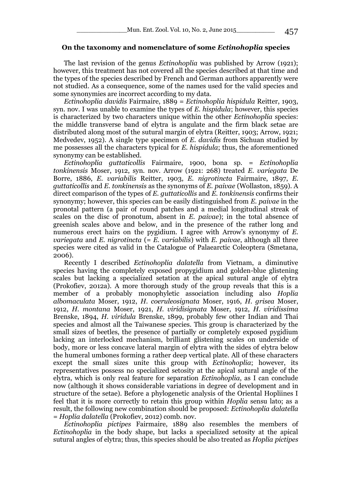## **On the taxonomy and nomenclature of some** *Ectinohoplia* **species**

The last revision of the genus *Ectinohoplia* was published by Arrow (1921); however, this treatment has not covered all the species described at that time and the types of the species described by French and German authors apparently were not studied. As a consequence, some of the names used for the valid species and some synonymies are incorrect according to my data.

*Ectinohoplia davidis* Fairmaire, 1889 = *Ectinohoplia hispidula* Reitter, 1903, syn. nov. I was unable to examine the types of *E. hispidula*; however, this species is characterized by two characters unique within the other *Ectinohoplia* species: the middle transverse band of elytra is angulate and the firm black setae are distributed along most of the sutural margin of elytra (Reitter, 1903; Arrow, 1921; Medvedev, 1952). A single type specimen of *E. davidis* from Sichuan studied by me possesses all the characters typical for *E. hispidula*; thus, the aforementioned synonymy can be established.

*Ectinohoplia guttaticollis* Fairmaire, 1900, bona sp. = *Ectinohoplia tonkinensis* Moser, 1912, syn. nov. Arrow (1921: 268) treated *E. variegata* De Borre, 1886, *E. variabilis* Reitter, 1903, *E. nigrotincta* Fairmaire, 1897, *E. guttaticollis* and *E. tonkinensis* as the synonyms of *E. paivae* (Wollaston, 1859). A direct comparison of the types of *E. guttaticollis* and *E. tonkinensis* confirms their synonymy; however, this species can be easily distinguished from *E. paivae* in the pronotal pattern (a pair of round patches and a medial longitudinal streak of scales on the disc of pronotum, absent in *E. paivae*); in the total absence of greenish scales above and below, and in the presence of the rather long and numerous erect hairs on the pygidium. I agree with Arrow's synonymy of *E. variegata* and *E. nigrotincta* (= *E. variabilis*) with *E. paivae*, although all three species were cited as valid in the Catalogue of Palaearctic Coleoptera (Smetana, 2006).

Recently I described *Ectinohoplia dalatella* from Vietnam, a diminutive species having the completely exposed propygidium and golden-blue glistening scales but lacking a specialized setation at the apical sutural angle of elytra (Prokofiev, 2012a). A more thorough study of the group reveals that this is a member of a probably monophyletic association including also *Hoplia albomaculata* Moser, 1912, *H. coeruleosignata* Moser, 1916, *H. grisea* Moser, 1912, *H. montana* Moser, 1921, *H. viridisignata* Moser, 1912, *H. viridissima* Brenske, 1894, *H. viridula* Brenske, 1899, probably few other Indian and Thai species and almost all the Taiwanese species. This group is characterized by the small sizes of beetles, the presence of partially or completely exposed pygidium lacking an interlocked mechanism, brilliant glistening scales on underside of body, more or less concave lateral margin of elytra with the sides of elytra below the humeral umbones forming a rather deep vertical plate. All of these characters except the small sizes unite this group with *Ectinohoplia*; however, its representatives possess no specialized setosity at the apical sutural angle of the elytra, which is only real feature for separation *Ectinohoplia*, as I can conclude now (although it shows considerable variations in degree of development and in structure of the setae). Before a phylogenetic analysis of the Oriental Hopliines I feel that it is more correctly to retain this group within *Hoplia* sensu lato; as a result, the following new combination should be proposed: *Ectinohoplia dalatella* = *Hoplia dalatella* (Prokofiev, 2012) comb. nov.

*Ectinohoplia pictipes* Fairmaire, 1889 also resembles the members of *Ectinohoplia* in the body shape, but lacks a specialized setosity at the apical sutural angles of elytra; thus, this species should be also treated as *Hoplia pictipes*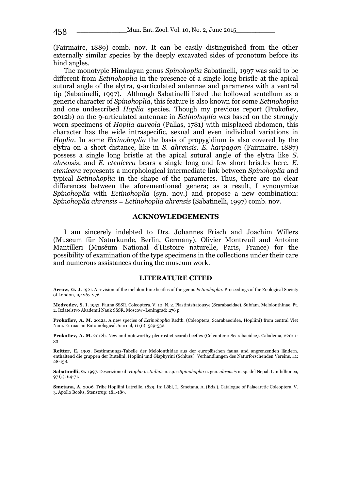(Fairmaire, 1889) comb. nov. It can be easily distinguished from the other externally similar species by the deeply excavated sides of pronotum before its hind angles.

The monotypic Himalayan genus *Spinohoplia* Sabatinelli, 1997 was said to be different from *Ectinohoplia* in the presence of a single long bristle at the apical sutural angle of the elytra, 9-articulated antennae and parameres with a ventral tip (Sabatinelli, 1997). Although Sabatinelli listed the hollowed scutellum as a generic character of *Spinohoplia*, this feature is also known for some *Ectinohoplia* and one undescribed *Hoplia* species. Though my previous report (Prokofiev, 2012b) on the 9-articulated antennae in *Ectinohoplia* was based on the strongly worn specimens of *Hoplia aureola* (Pallas, 1781) with misplaced abdomen, this character has the wide intraspecific, sexual and even individual variations in *Hoplia*. In some *Ectinohoplia* the basis of propygidium is also covered by the elytra on a short distance, like in *S. ahrensis*. *E. harpagon* (Fairmaire, 1887) possess a single long bristle at the apical sutural angle of the elytra like *S. ahrensis*, and *E. ctenicera* bears a single long and few short bristles here. *E. ctenicera* represents a morphological intermediate link between *Spinohoplia* and typical *Ectinohoplia* in the shape of the parameres. Thus, there are no clear differences between the aforementioned genera; as a result, I synonymize *Spinohoplia* with *Ectinohoplia* (syn. nov.) and propose a new combination: *Spinohoplia ahrensis* = *Ectinohoplia ahrensis* (Sabatinelli, 1997) comb. nov.

### **ACKNOWLEDGEMENTS**

I am sincerely indebted to Drs. Johannes Frisch and Joachim Willers (Museum für Naturkunde, Berlin, Germany), Olivier Montreuil and Antoine Mantilleri (Muséum National d'Histoire naturelle, Paris, France) for the possibility of examination of the type specimens in the collections under their care and numerous assistances during the museum work.

### **LITERATURE CITED**

**Arrow, G. J.** 1921. A revision of the melolonthine beetles of the genus *Ectinohoplia*. Proceedings of the Zoological Society of London, 19: 267-276.

**Medvedev, S. I.** 1952. Fauna SSSR. Coleoptera. V. 10. N. 2. Plastintshatousye (Scarabaeidae). Subfam. Melolonthinae. Pt. 2. Izdatelstvo Akademii Nauk SSSR, Moscow–Leningrad: 276 p.

**Prokofiev, A. M.** 2012a. A new species of *Ectinohoplia* Redtb. (Coleoptera, Scarabaeoidea, Hopliini) from central Viet Nam. Euroasian Entomological Journal, 11 (6): 529-532.

**Prokofiev, A. M.** 2012b. New and noteworthy pleurostict scarab beetles (Coleoptera: Scarabaeidae). Calodema, 220: 1- 33.

**Reitter, E.** 1903. Bestimmungs-Tabelle der Melolonthidae aus der europäischen fauna und angrenzenden ländern, enthaltend die gruppen der Rutelini, Hoplini und Glaphyrini (Schluss). [Verhandlungen des Naturforschenden Vereins, 41:](https://archive.org/stream/verhandlungende411902natu#page/28/mode/1up)  [28-158.](https://archive.org/stream/verhandlungende411902natu#page/28/mode/1up)

**Sabatinelli, G.** 1997. Descrizione di *Hoplia testudinis* n. sp. e *Spinohoplia* n. gen. *ahrensis* n. sp. del Nepal[. Lambillionea,](http://www.glaphyridae.com/documenti/pdf/sabatinelli/Sabatinelli_1997_Spinohoplia.pdf)  97 [\(1\): 64-71.](http://www.glaphyridae.com/documenti/pdf/sabatinelli/Sabatinelli_1997_Spinohoplia.pdf)

**Smetana, A.** 2006. Tribe Hopliini Latreille, 1829. In: Löbl, I., Smetana, A. (Eds.), Catalogue of Palaearctic Coleoptera. V. 3. Apollo Books, Stenstrup: 184-189.